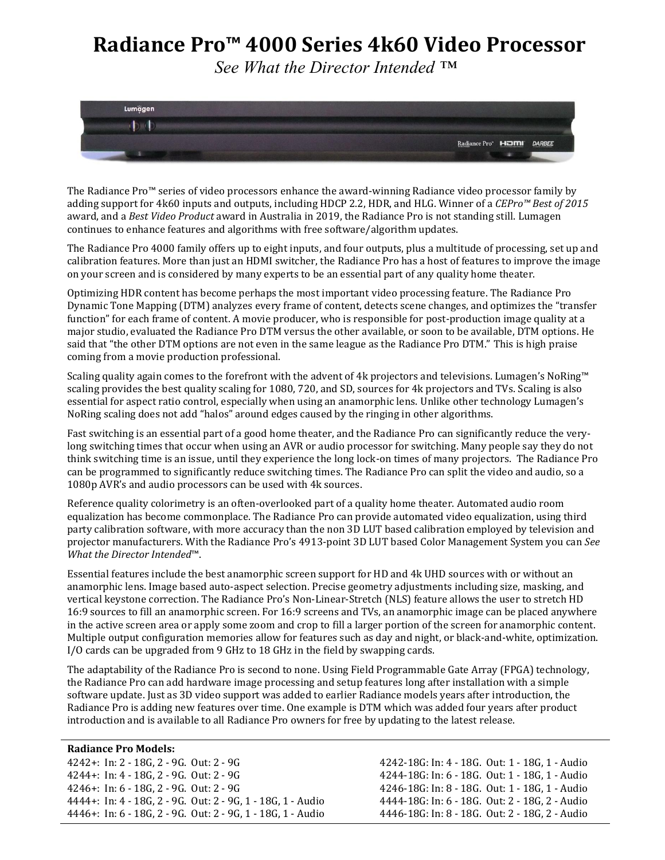## **Radiance Pro™ 4000 Series 4k60 Video Processor**

*See What the Director Intended ™*



The Radiance Pro™ series of video processors enhance the award-winning Radiance video processor family by adding support for 4k60 inputs and outputs, including HDCP 2.2, HDR, and HLG. Winner of a *CEPro™ Best of 2015* award, and a *Best Video Product* award in Australia in 2019, the Radiance Pro is not standing still. Lumagen continues to enhance features and algorithms with free software/algorithm updates.

The Radiance Pro 4000 family offers up to eight inputs, and four outputs, plus a multitude of processing, set up and calibration features. More than just an HDMI switcher, the Radiance Pro has a host of features to improve the image on your screen and is considered by many experts to be an essential part of any quality home theater.

Optimizing HDR content has become perhaps the most important video processing feature. The Radiance Pro Dynamic Tone Mapping (DTM) analyzes every frame of content, detects scene changes, and optimizes the "transfer function" for each frame of content. A movie producer, who is responsible for post-production image quality at a major studio, evaluated the Radiance Pro DTM versus the other available, or soon to be available, DTM options. He said that "the other DTM options are not even in the same league as the Radiance Pro DTM." This is high praise coming from a movie production professional.

Scaling quality again comes to the forefront with the advent of 4k projectors and televisions. Lumagen's NoRing™ scaling provides the best quality scaling for 1080, 720, and SD, sources for 4k projectors and TVs. Scaling is also essential for aspect ratio control, especially when using an anamorphic lens. Unlike other technology Lumagen's NoRing scaling does not add "halos" around edges caused by the ringing in other algorithms.

Fast switching is an essential part of a good home theater, and the Radiance Pro can significantly reduce the verylong switching times that occur when using an AVR or audio processor for switching. Many people say they do not think switching time is an issue, until they experience the long lock-on times of many projectors. The Radiance Pro can be programmed to significantly reduce switching times. The Radiance Pro can split the video and audio, so a 1080p AVR's and audio processors can be used with 4k sources.

Reference quality colorimetry is an often-overlooked part of a quality home theater. Automated audio room equalization has become commonplace. The Radiance Pro can provide automated video equalization, using third party calibration software, with more accuracy than the non 3D LUT based calibration employed by television and projector manufacturers. With the Radiance Pro's 4913-point 3D LUT based Color Management System you can *See What the Director Intended*™.

Essential features include the best anamorphic screen support for HD and 4k UHD sources with or without an anamorphic lens. Image based auto-aspect selection. Precise geometry adjustments including size, masking, and vertical keystone correction. The Radiance Pro's Non-Linear-Stretch (NLS) feature allows the user to stretch HD 16:9 sources to fill an anamorphic screen. For 16:9 screens and TVs, an anamorphic image can be placed anywhere in the active screen area or apply some zoom and crop to fill a larger portion of the screen for anamorphic content. Multiple output configuration memories allow for features such as day and night, or black-and-white, optimization. I/O cards can be upgraded from 9 GHz to 18 GHz in the field by swapping cards.

The adaptability of the Radiance Pro is second to none. Using Field Programmable Gate Array (FPGA) technology, the Radiance Pro can add hardware image processing and setup features long after installation with a simple software update. Just as 3D video support was added to earlier Radiance models years after introduction, the Radiance Pro is adding new features over time. One example is DTM which was added four years after product introduction and is available to all Radiance Pro owners for free by updating to the latest release.

## **Radiance Pro Models:**

4242+: In: 2 - 18G, 2 - 9G. Out: 2 - 9G 4242-18G: In: 4 - 18G. Out: 1 - 18G, 1 - Audio 4244+: In: 4 - 18G, 2 - 9G. Out: 2 - 9G 4244-18G: In: 6 - 18G. Out: 1 - 18G, 1 - Audio 4246+: In: 6 - 18G, 2 - 9G. Out: 2 - 9G 4246-18G: In: 8 - 18G. Out: 1 - 18G, 1 - Audio 4444+: In: 4 - 18G, 2 - 9G. Out: 2 - 9G, 1 - 18G, 1 - Audio 4444-18G: In: 6 - 18G. Out: 2 - 18G, 2 - Audio 4446+: In: 6 - 18G, 2 - 9G. Out: 2 - 9G, 1 - 18G, 1 - Audio 4446-18G: In: 8 - 18G. Out: 2 - 18G, 2 - Audio